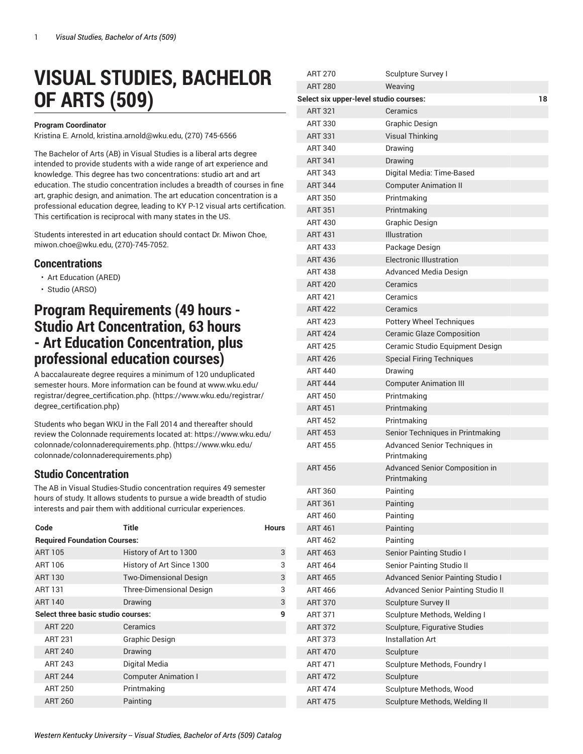# **VISUAL STUDIES, BACHELOR OF ARTS (509)**

#### **Program Coordinator**

Kristina E. Arnold, [kristina.arnold@wku.edu,](mailto:kristina.arnold@wku.edu) (270) 745-6566

The Bachelor of Arts (AB) in Visual Studies is a liberal arts degree intended to provide students with a wide range of art experience and knowledge. This degree has two concentrations: studio art and art education. The studio concentration includes a breadth of courses in fine art, graphic design, and animation. The art education concentration is a professional education degree, leading to KY P-12 visual arts certification. This certification is reciprocal with many states in the US.

Students interested in art education should contact Dr. Miwon Choe, [miwon.choe@wku.edu](mailto:miwon.choe@wku.edu), (270)-745-7052.

### **Concentrations**

- Art Education (ARED)
- Studio (ARSO)

## **Program Requirements (49 hours - Studio Art Concentration, 63 hours - Art Education Concentration, plus professional education courses)**

A baccalaureate degree requires a minimum of 120 unduplicated semester hours. More information can be found at [www.wku.edu/](https://www.wku.edu/registrar/degree_certification.php) [registrar/degree\\_certification.php.](https://www.wku.edu/registrar/degree_certification.php) [\(https://www.wku.edu/registrar/](https://www.wku.edu/registrar/degree_certification.php) [degree\\_certification.php\)](https://www.wku.edu/registrar/degree_certification.php)

Students who began WKU in the Fall 2014 and thereafter should review the Colonnade requirements located at: [https://www.wku.edu/](https://www.wku.edu/colonnade/colonnaderequirements.php) [colonnade/colonnaderequirements.php.](https://www.wku.edu/colonnade/colonnaderequirements.php) ([https://www.wku.edu/](https://www.wku.edu/colonnade/colonnaderequirements.php) [colonnade/colonnaderequirements.php\)](https://www.wku.edu/colonnade/colonnaderequirements.php)

### **Studio Concentration**

The AB in Visual Studies-Studio concentration requires 49 semester hours of study. It allows students to pursue a wide breadth of studio interests and pair them with additional curricular experiences.

| Code                                | Title                           | <b>Hours</b> |  |  |
|-------------------------------------|---------------------------------|--------------|--|--|
| <b>Required Foundation Courses:</b> |                                 |              |  |  |
| <b>ART 105</b>                      | History of Art to 1300          | 3            |  |  |
| ART 106                             | History of Art Since 1300       | 3            |  |  |
| <b>ART 130</b>                      | <b>Two-Dimensional Design</b>   | 3            |  |  |
| ART 131                             | <b>Three-Dimensional Design</b> | 3            |  |  |
| <b>ART 140</b>                      | Drawing                         | 3            |  |  |
| Select three basic studio courses:  |                                 | 9            |  |  |
| <b>ART 220</b>                      | Ceramics                        |              |  |  |
| <b>ART 231</b>                      | <b>Graphic Design</b>           |              |  |  |
| <b>ART 240</b>                      | Drawing                         |              |  |  |
| ART 243                             | Digital Media                   |              |  |  |
| <b>ART 244</b>                      | <b>Computer Animation I</b>     |              |  |  |
| <b>ART 250</b>                      | Printmaking                     |              |  |  |
| <b>ART 260</b>                      | Painting                        |              |  |  |

| <b>ART 270</b>                         | Sculpture Survey I                            |    |
|----------------------------------------|-----------------------------------------------|----|
| <b>ART 280</b>                         | Weaving                                       |    |
| Select six upper-level studio courses: |                                               | 18 |
| <b>ART 321</b>                         | Ceramics                                      |    |
| ART 330                                | Graphic Design                                |    |
| <b>ART 331</b>                         | <b>Visual Thinking</b>                        |    |
| <b>ART 340</b>                         | Drawing                                       |    |
| <b>ART 341</b>                         | Drawing                                       |    |
| ART 343                                | Digital Media: Time-Based                     |    |
| <b>ART 344</b>                         | <b>Computer Animation II</b>                  |    |
| <b>ART 350</b>                         | Printmaking                                   |    |
| <b>ART 351</b>                         | Printmaking                                   |    |
| ART 430                                | Graphic Design                                |    |
| <b>ART 431</b>                         | Illustration                                  |    |
| ART 433                                | Package Design                                |    |
| <b>ART 436</b>                         | <b>Electronic Illustration</b>                |    |
| <b>ART 438</b>                         | <b>Advanced Media Design</b>                  |    |
| <b>ART 420</b>                         | Ceramics                                      |    |
| <b>ART 421</b>                         | Ceramics                                      |    |
| <b>ART 422</b>                         | Ceramics                                      |    |
| <b>ART 423</b>                         | <b>Pottery Wheel Techniques</b>               |    |
| <b>ART 424</b>                         | <b>Ceramic Glaze Composition</b>              |    |
| <b>ART 425</b>                         | Ceramic Studio Equipment Design               |    |
| <b>ART 426</b>                         | <b>Special Firing Techniques</b>              |    |
| <b>ART 440</b>                         | Drawing                                       |    |
| <b>ART 444</b>                         | <b>Computer Animation III</b>                 |    |
| <b>ART 450</b>                         | Printmaking                                   |    |
| <b>ART 451</b>                         | Printmaking                                   |    |
| <b>ART 452</b>                         | Printmaking                                   |    |
| <b>ART 453</b>                         | Senior Techniques in Printmaking              |    |
| <b>ART 455</b>                         | Advanced Senior Techniques in<br>Printmaking  |    |
| <b>ART 456</b>                         | Advanced Senior Composition in<br>Printmaking |    |
| ART 360                                | Painting                                      |    |
| <b>ART 361</b>                         | Painting                                      |    |
| <b>ART 460</b>                         | Painting                                      |    |
| <b>ART 461</b>                         | Painting                                      |    |
| <b>ART 462</b>                         | Painting                                      |    |
| <b>ART 463</b>                         | Senior Painting Studio I                      |    |
| <b>ART 464</b>                         | Senior Painting Studio II                     |    |
| <b>ART 465</b>                         | <b>Advanced Senior Painting Studio I</b>      |    |
| <b>ART 466</b>                         | <b>Advanced Senior Painting Studio II</b>     |    |
| <b>ART 370</b>                         | Sculpture Survey II                           |    |
| <b>ART 371</b>                         | Sculpture Methods, Welding I                  |    |
| <b>ART 372</b>                         | Sculpture, Figurative Studies                 |    |
| <b>ART 373</b>                         | <b>Installation Art</b>                       |    |
| <b>ART 470</b>                         | Sculpture                                     |    |
| <b>ART 471</b>                         | Sculpture Methods, Foundry I                  |    |
| <b>ART 472</b>                         | Sculpture                                     |    |
| <b>ART 474</b>                         | Sculpture Methods, Wood                       |    |
| <b>ART 475</b>                         | Sculpture Methods, Welding II                 |    |
|                                        |                                               |    |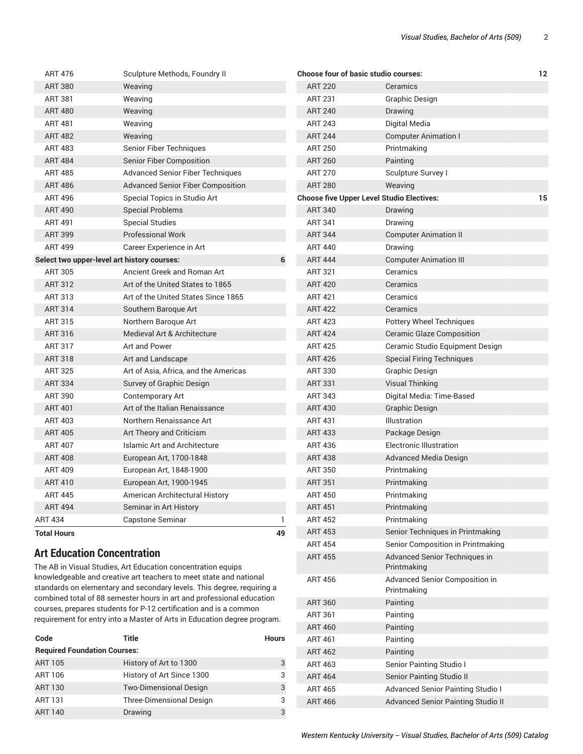| <b>ART 476</b>                     | Sculpture Methods, Foundry II                                |    |                | Choose four of basic studio courses:             | 12 |
|------------------------------------|--------------------------------------------------------------|----|----------------|--------------------------------------------------|----|
| <b>ART 380</b>                     | Weaving                                                      |    | <b>ART 220</b> | Ceramics                                         |    |
| <b>ART 381</b>                     | Weaving                                                      |    | <b>ART 231</b> | <b>Graphic Design</b>                            |    |
| <b>ART 480</b>                     | Weaving                                                      |    | <b>ART 240</b> | Drawing                                          |    |
| <b>ART 481</b>                     | Weaving                                                      |    | <b>ART 243</b> | Digital Media                                    |    |
| <b>ART 482</b>                     | Weaving                                                      |    | <b>ART 244</b> | <b>Computer Animation I</b>                      |    |
| <b>ART 483</b>                     | Senior Fiber Techniques                                      |    | <b>ART 250</b> | Printmaking                                      |    |
| <b>ART 484</b>                     | <b>Senior Fiber Composition</b>                              |    | <b>ART 260</b> | Painting                                         |    |
| <b>ART 485</b>                     | Advanced Senior Fiber Techniques                             |    | <b>ART 270</b> | Sculpture Survey I                               |    |
| <b>ART 486</b>                     | <b>Advanced Senior Fiber Composition</b>                     |    | <b>ART 280</b> | Weaving                                          |    |
| <b>ART 496</b>                     | Special Topics in Studio Art                                 |    |                | <b>Choose five Upper Level Studio Electives:</b> | 15 |
| <b>ART 490</b>                     | <b>Special Problems</b>                                      |    | <b>ART 340</b> | Drawing                                          |    |
| <b>ART 491</b>                     | <b>Special Studies</b>                                       |    | <b>ART 341</b> | Drawing                                          |    |
| <b>ART 399</b>                     | <b>Professional Work</b>                                     |    | <b>ART 344</b> | <b>Computer Animation II</b>                     |    |
| <b>ART 499</b>                     | Career Experience in Art                                     |    | <b>ART 440</b> | Drawing                                          |    |
|                                    | Select two upper-level art history courses:                  | 6  | <b>ART 444</b> | <b>Computer Animation III</b>                    |    |
| <b>ART 305</b>                     | Ancient Greek and Roman Art                                  |    | <b>ART 321</b> | Ceramics                                         |    |
| <b>ART 312</b>                     | Art of the United States to 1865                             |    | <b>ART 420</b> | Ceramics                                         |    |
| ART 313                            | Art of the United States Since 1865                          |    | <b>ART 421</b> | Ceramics                                         |    |
| <b>ART 314</b>                     | Southern Baroque Art                                         |    | <b>ART 422</b> | Ceramics                                         |    |
| <b>ART 315</b>                     | Northern Baroque Art                                         |    | <b>ART 423</b> | <b>Pottery Wheel Techniques</b>                  |    |
| ART 316                            | Medieval Art & Architecture                                  |    | <b>ART 424</b> | <b>Ceramic Glaze Composition</b>                 |    |
| <b>ART 317</b>                     | Art and Power                                                |    | <b>ART 425</b> | Ceramic Studio Equipment Design                  |    |
| <b>ART 318</b>                     | Art and Landscape                                            |    | <b>ART 426</b> | <b>Special Firing Techniques</b>                 |    |
| <b>ART 325</b>                     | Art of Asia, Africa, and the Americas                        |    | <b>ART 330</b> | Graphic Design                                   |    |
| <b>ART 334</b>                     | Survey of Graphic Design                                     |    | <b>ART 331</b> | <b>Visual Thinking</b>                           |    |
| <b>ART 390</b>                     | Contemporary Art                                             |    | <b>ART 343</b> | Digital Media: Time-Based                        |    |
| <b>ART 401</b>                     | Art of the Italian Renaissance                               |    | <b>ART 430</b> | <b>Graphic Design</b>                            |    |
| <b>ART 403</b>                     | Northern Renaissance Art                                     |    | <b>ART 431</b> | Illustration                                     |    |
| <b>ART 405</b>                     | Art Theory and Criticism                                     |    | <b>ART 433</b> | Package Design                                   |    |
| <b>ART 407</b>                     | <b>Islamic Art and Architecture</b>                          |    | <b>ART 436</b> | <b>Electronic Illustration</b>                   |    |
| <b>ART 408</b>                     | European Art, 1700-1848                                      |    | <b>ART 438</b> | <b>Advanced Media Design</b>                     |    |
| <b>ART 409</b>                     | European Art, 1848-1900                                      |    | <b>ART 350</b> | Printmaking                                      |    |
| <b>ART 410</b>                     | European Art, 1900-1945                                      |    | <b>ART 351</b> | Printmaking                                      |    |
| ART 445                            | American Architectural History                               |    | <b>ART 450</b> | Printmaking                                      |    |
| <b>ART 494</b>                     | Seminar in Art History                                       |    | <b>ART 451</b> | Printmaking                                      |    |
| <b>ART 434</b>                     | Capstone Seminar                                             | 1  | <b>ART 452</b> | Printmaking                                      |    |
| <b>Total Hours</b>                 |                                                              | 49 | <b>ART 453</b> | Senior Techniques in Printmaking                 |    |
|                                    |                                                              |    | <b>ART 454</b> | Senior Composition in Printmaking                |    |
| <b>Art Education Concentration</b> | The AB in Visual Studies, Art Education concentration equips |    | <b>ART 455</b> | Advanced Senior Techniques in<br>Printmaking     |    |

knowledgeable and creative art teachers to meet state and national standards on elementary and secondary levels. This degree, requiring a combined total of 88 semester hours in art and professional education courses, prepares students for P-12 certification and is a common requirement for entry into a Master of Arts in Education degree program.

| Code                                | <b>Title</b>                    | <b>Hours</b> |
|-------------------------------------|---------------------------------|--------------|
| <b>Required Foundation Courses:</b> |                                 |              |
| <b>ART 105</b>                      | History of Art to 1300          | 3            |
| ART 106                             | History of Art Since 1300       | 3            |
| <b>ART 130</b>                      | <b>Two-Dimensional Design</b>   | 3            |
| <b>ART 131</b>                      | <b>Three-Dimensional Design</b> | 3            |
| <b>ART 140</b>                      | Drawing                         | 3            |

ART 456 Advanced Senior Composition in Printmaking

ART 463 Senior Painting Studio I ART 464 Senior Painting Studio II

ART 465 Advanced Senior Painting Studio I ART 466 Advanced Senior Painting Studio II

ART 360 Painting ART 361 Painting ART 460 Painting ART 461 Painting ART 462 Painting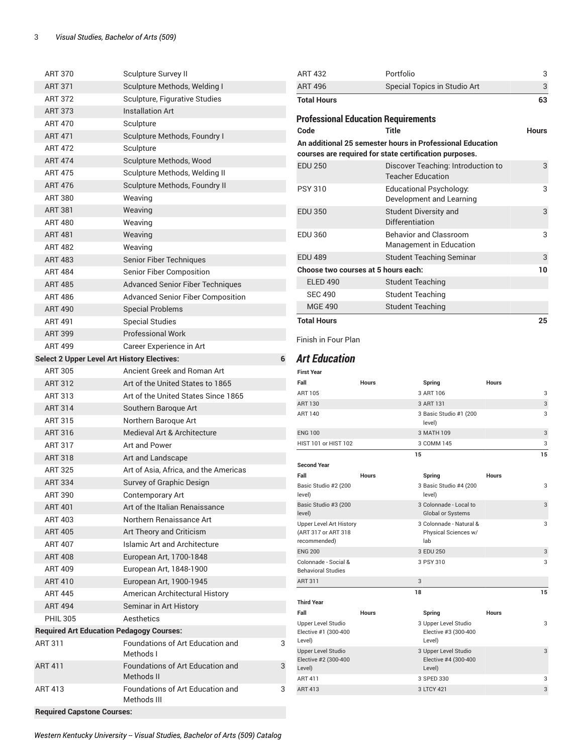| <b>ART 370</b>                                     | Sculpture Survey II                             |   | <b>ART 432</b>                                    |              | Portfolio                                                      |              | 3            |
|----------------------------------------------------|-------------------------------------------------|---|---------------------------------------------------|--------------|----------------------------------------------------------------|--------------|--------------|
| <b>ART 371</b>                                     | Sculpture Methods, Welding I                    |   | <b>ART 496</b>                                    |              | Special Topics in Studio Art                                   |              | $\sqrt{3}$   |
| <b>ART 372</b>                                     | Sculpture, Figurative Studies                   |   | <b>Total Hours</b>                                |              |                                                                |              | 63           |
| <b>ART 373</b>                                     | <b>Installation Art</b>                         |   |                                                   |              |                                                                |              |              |
| <b>ART 470</b>                                     | Sculpture                                       |   | <b>Professional Education Requirements</b>        |              |                                                                |              |              |
| <b>ART 471</b>                                     | Sculpture Methods, Foundry I                    |   | Code                                              |              | <b>Title</b>                                                   |              | <b>Hours</b> |
| <b>ART 472</b>                                     | Sculpture                                       |   |                                                   |              | An additional 25 semester hours in Professional Education      |              |              |
| <b>ART 474</b>                                     | Sculpture Methods, Wood                         |   |                                                   |              | courses are required for state certification purposes.         |              |              |
| <b>ART 475</b>                                     | Sculpture Methods, Welding II                   |   | <b>EDU 250</b>                                    |              | Discover Teaching: Introduction to<br><b>Teacher Education</b> |              | 3            |
| <b>ART 476</b>                                     | Sculpture Methods, Foundry II                   |   | <b>PSY 310</b>                                    |              | <b>Educational Psychology:</b>                                 |              | 3            |
| <b>ART 380</b>                                     | Weaving                                         |   |                                                   |              | Development and Learning                                       |              |              |
| <b>ART 381</b>                                     | Weaving                                         |   | <b>EDU 350</b>                                    |              | <b>Student Diversity and</b>                                   |              | 3            |
| <b>ART 480</b>                                     | Weaving                                         |   |                                                   |              | Differentiation                                                |              |              |
| <b>ART 481</b>                                     | Weaving                                         |   | <b>EDU 360</b>                                    |              | <b>Behavior and Classroom</b>                                  |              | 3            |
| <b>ART 482</b>                                     | Weaving                                         |   |                                                   |              | Management in Education                                        |              |              |
| <b>ART 483</b>                                     | Senior Fiber Techniques                         |   | <b>EDU 489</b>                                    |              | <b>Student Teaching Seminar</b>                                |              | $\mathbf{3}$ |
| <b>ART 484</b>                                     | <b>Senior Fiber Composition</b>                 |   | Choose two courses at 5 hours each:               |              |                                                                |              | 10           |
| <b>ART 485</b>                                     | <b>Advanced Senior Fiber Techniques</b>         |   | <b>ELED 490</b>                                   |              | <b>Student Teaching</b>                                        |              |              |
| <b>ART 486</b>                                     | <b>Advanced Senior Fiber Composition</b>        |   | <b>SEC 490</b>                                    |              | <b>Student Teaching</b>                                        |              |              |
| <b>ART 490</b>                                     | <b>Special Problems</b>                         |   | <b>MGE 490</b>                                    |              | <b>Student Teaching</b>                                        |              |              |
| <b>ART 491</b>                                     | <b>Special Studies</b>                          |   | <b>Total Hours</b>                                |              |                                                                |              | 25           |
| <b>ART 399</b>                                     | <b>Professional Work</b>                        |   |                                                   |              |                                                                |              |              |
| <b>ART 499</b>                                     | Career Experience in Art                        |   | Finish in Four Plan                               |              |                                                                |              |              |
| <b>Select 2 Upper Level Art History Electives:</b> |                                                 | 6 | <b>Art Education</b>                              |              |                                                                |              |              |
| <b>ART 305</b>                                     | Ancient Greek and Roman Art                     |   | <b>First Year</b>                                 |              |                                                                |              |              |
| <b>ART 312</b>                                     | Art of the United States to 1865                |   | Fall                                              | <b>Hours</b> | Spring                                                         | <b>Hours</b> |              |
| <b>ART 313</b>                                     | Art of the United States Since 1865             |   | <b>ART 105</b>                                    |              | 3 ART 106                                                      |              | 3            |
| <b>ART 314</b>                                     | Southern Baroque Art                            |   | <b>ART 130</b>                                    |              | 3 ART 131                                                      |              | $\sqrt{3}$   |
| <b>ART 315</b>                                     | Northern Baroque Art                            |   | <b>ART 140</b>                                    |              | 3 Basic Studio #1 (200                                         |              | 3            |
| <b>ART 316</b>                                     | Medieval Art & Architecture                     |   | <b>ENG 100</b>                                    |              | level)<br>3 MATH 109                                           |              | 3            |
| <b>ART 317</b>                                     | Art and Power                                   |   | HIST 101 or HIST 102                              |              | 3 COMM 145                                                     |              | 3            |
| <b>ART 318</b>                                     | Art and Landscape                               |   |                                                   |              | 15                                                             |              | 15           |
| <b>ART 325</b>                                     | Art of Asia, Africa, and the Americas           |   | <b>Second Year</b>                                |              |                                                                |              |              |
| <b>ART 334</b>                                     | Survey of Graphic Design                        |   | Fall                                              | <b>Hours</b> | Spring                                                         | <b>Hours</b> |              |
| <b>ART 390</b>                                     | <b>Contemporary Art</b>                         |   | Basic Studio #2 (200<br>level)                    |              | 3 Basic Studio #4 (200<br>level)                               |              | 3            |
| <b>ART 401</b>                                     | Art of the Italian Renaissance                  |   | Basic Studio #3 (200                              |              | 3 Colonnade - Local to                                         |              | 3            |
| <b>ART 403</b>                                     | Northern Renaissance Art                        |   | level)                                            |              | Global or Systems                                              |              |              |
| <b>ART 405</b>                                     | Art Theory and Criticism                        |   | <b>Upper Level Art History</b>                    |              | 3 Colonnade - Natural &                                        |              | 3            |
| <b>ART 407</b>                                     | <b>Islamic Art and Architecture</b>             |   | (ART 317 or ART 318<br>recommended)               |              | Physical Sciences w/<br>lab                                    |              |              |
| <b>ART 408</b>                                     | European Art, 1700-1848                         |   | <b>ENG 200</b>                                    |              | 3 EDU 250                                                      |              | 3            |
| <b>ART 409</b>                                     | European Art, 1848-1900                         |   | Colonnade - Social &                              |              | 3 PSY 310                                                      |              | 3            |
|                                                    |                                                 |   | <b>Behavioral Studies</b><br><b>ART 311</b>       |              | 3                                                              |              |              |
| <b>ART 410</b><br><b>ART 445</b>                   | European Art, 1900-1945                         |   |                                                   |              | 18                                                             |              | 15           |
|                                                    | American Architectural History                  |   | <b>Third Year</b>                                 |              |                                                                |              |              |
| <b>ART 494</b>                                     | Seminar in Art History                          |   | Fall                                              | Hours        | Spring                                                         | <b>Hours</b> |              |
| <b>PHIL 305</b>                                    | Aesthetics                                      |   | Upper Level Studio                                |              | 3 Upper Level Studio                                           |              | 3            |
| <b>Required Art Education Pedagogy Courses:</b>    |                                                 |   | Elective #1 (300-400<br>Level)                    |              | Elective #3 (300-400<br>Level)                                 |              |              |
| <b>ART 311</b>                                     | Foundations of Art Education and<br>Methods I   | 3 | <b>Upper Level Studio</b><br>Elective #2 (300-400 |              | 3 Upper Level Studio<br>Elective #4 (300-400                   |              | 3            |
| <b>ART 411</b>                                     | Foundations of Art Education and                | 3 | Level)                                            |              | Level)                                                         |              |              |
|                                                    | Methods II                                      |   | <b>ART 411</b>                                    |              | 3 SPED 330                                                     |              | 3            |
| <b>ART 413</b>                                     | Foundations of Art Education and<br>Methods III | 3 | <b>ART 413</b>                                    |              | 3 LTCY 421                                                     |              | 3            |
| <b>Required Capstone Courses:</b>                  |                                                 |   |                                                   |              |                                                                |              |              |